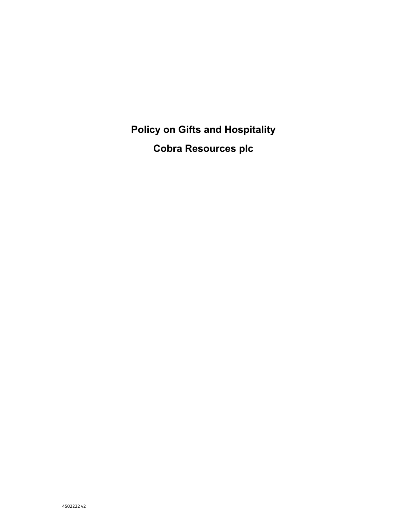**Policy on Gifts and Hospitality Cobra Resources plc**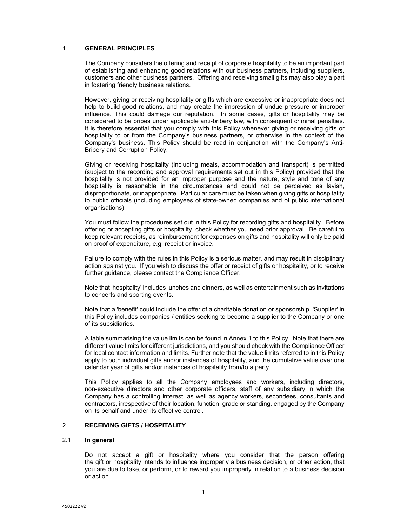### 1. **GENERAL PRINCIPLES**

The Company considers the offering and receipt of corporate hospitality to be an important part of establishing and enhancing good relations with our business partners, including suppliers, customers and other business partners. Offering and receiving small gifts may also play a part in fostering friendly business relations.

However, giving or receiving hospitality or gifts which are excessive or inappropriate does not help to build good relations, and may create the impression of undue pressure or improper influence. This could damage our reputation. In some cases, gifts or hospitality may be considered to be bribes under applicable anti-bribery law, with consequent criminal penalties. It is therefore essential that you comply with this Policy whenever giving or receiving gifts or hospitality to or from the Company's business partners, or otherwise in the context of the Company's business. This Policy should be read in conjunction with the Company's Anti-Bribery and Corruption Policy.

Giving or receiving hospitality (including meals, accommodation and transport) is permitted (subject to the recording and approval requirements set out in this Policy) provided that the hospitality is not provided for an improper purpose and the nature, style and tone of any hospitality is reasonable in the circumstances and could not be perceived as lavish, disproportionate, or inappropriate. Particular care must be taken when giving gifts or hospitality to public officials (including employees of state-owned companies and of public international organisations).

You must follow the procedures set out in this Policy for recording gifts and hospitality. Before offering or accepting gifts or hospitality, check whether you need prior approval. Be careful to keep relevant receipts, as reimbursement for expenses on gifts and hospitality will only be paid on proof of expenditure, e.g. receipt or invoice.

Failure to comply with the rules in this Policy is a serious matter, and may result in disciplinary action against you. If you wish to discuss the offer or receipt of gifts or hospitality, or to receive further guidance, please contact the Compliance Officer.

Note that 'hospitality' includes lunches and dinners, as well as entertainment such as invitations to concerts and sporting events.

Note that a 'benefit' could include the offer of a charitable donation or sponsorship. 'Supplier' in this Policy includes companies / entities seeking to become a supplier to the Company or one of its subsidiaries.

A table summarising the value limits can be found in Annex 1 to this Policy. Note that there are different value limits for different jurisdictions, and you should check with the Compliance Officer for local contact information and limits. Further note that the value limits referred to in this Policy apply to both individual gifts and/or instances of hospitality, and the cumulative value over one calendar year of gifts and/or instances of hospitality from/to a party.

This Policy applies to all the Company employees and workers, including directors, non-executive directors and other corporate officers, staff of any subsidiary in which the Company has a controlling interest, as well as agency workers, secondees, consultants and contractors, irrespective of their location, function, grade or standing, engaged by the Company on its behalf and under its effective control.

### 2. **RECEIVING GIFTS / HOSPITALITY**

#### 2.1 **In general**

Do not accept a gift or hospitality where you consider that the person offering the gift or hospitality intends to influence improperly a business decision, or other action, that you are due to take, or perform, or to reward you improperly in relation to a business decision or action.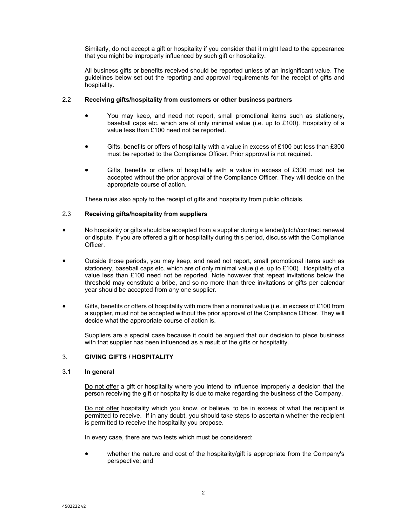Similarly, do not accept a gift or hospitality if you consider that it might lead to the appearance that you might be improperly influenced by such gift or hospitality.

All business gifts or benefits received should be reported unless of an insignificant value. The guidelines below set out the reporting and approval requirements for the receipt of gifts and hospitality.

# 2.2 **Receiving gifts/hospitality from customers or other business partners**

- You may keep, and need not report, small promotional items such as stationery, baseball caps etc. which are of only minimal value (i.e. up to £100). Hospitality of a value less than £100 need not be reported.
- Gifts, benefits or offers of hospitality with a value in excess of £100 but less than £300 must be reported to the Compliance Officer. Prior approval is not required.
- Gifts, benefits or offers of hospitality with a value in excess of £300 must not be accepted without the prior approval of the Compliance Officer. They will decide on the appropriate course of action.

These rules also apply to the receipt of gifts and hospitality from public officials.

# 2.3 **Receiving gifts/hospitality from suppliers**

- No hospitality or gifts should be accepted from a supplier during a tender/pitch/contract renewal or dispute. If you are offered a gift or hospitality during this period, discuss with the Compliance Officer.
- Outside those periods, you may keep, and need not report, small promotional items such as stationery, baseball caps etc. which are of only minimal value (i.e. up to £100). Hospitality of a value less than £100 need not be reported. Note however that repeat invitations below the threshold may constitute a bribe, and so no more than three invitations or gifts per calendar year should be accepted from any one supplier.
- Gifts, benefits or offers of hospitality with more than a nominal value (i.e. in excess of £100 from a supplier, must not be accepted without the prior approval of the Compliance Officer. They will decide what the appropriate course of action is.

Suppliers are a special case because it could be argued that our decision to place business with that supplier has been influenced as a result of the gifts or hospitality.

#### 3. **GIVING GIFTS / HOSPITALITY**

# 3.1 **In general**

Do not offer a gift or hospitality where you intend to influence improperly a decision that the person receiving the gift or hospitality is due to make regarding the business of the Company.

Do not offer hospitality which you know, or believe, to be in excess of what the recipient is permitted to receive. If in any doubt, you should take steps to ascertain whether the recipient is permitted to receive the hospitality you propose.

In every case, there are two tests which must be considered:

 whether the nature and cost of the hospitality/gift is appropriate from the Company's perspective; and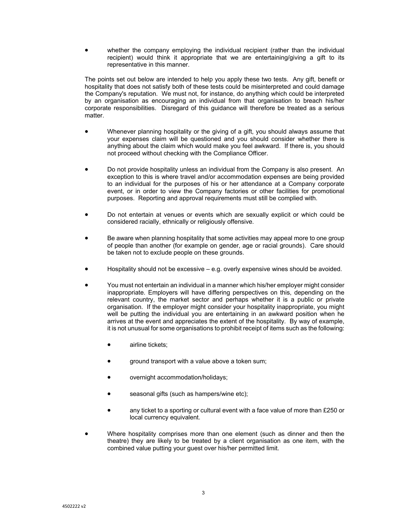whether the company employing the individual recipient (rather than the individual recipient) would think it appropriate that we are entertaining/giving a gift to its representative in this manner.

The points set out below are intended to help you apply these two tests. Any gift, benefit or hospitality that does not satisfy both of these tests could be misinterpreted and could damage the Company's reputation. We must not, for instance, do anything which could be interpreted by an organisation as encouraging an individual from that organisation to breach his/her corporate responsibilities. Disregard of this guidance will therefore be treated as a serious matter.

- Whenever planning hospitality or the giving of a gift, you should always assume that your expenses claim will be questioned and you should consider whether there is anything about the claim which would make you feel awkward. If there is, you should not proceed without checking with the Compliance Officer.
- Do not provide hospitality unless an individual from the Company is also present. An exception to this is where travel and/or accommodation expenses are being provided to an individual for the purposes of his or her attendance at a Company corporate event, or in order to view the Company factories or other facilities for promotional purposes. Reporting and approval requirements must still be complied with.
- Do not entertain at venues or events which are sexually explicit or which could be considered racially, ethnically or religiously offensive.
- Be aware when planning hospitality that some activities may appeal more to one group of people than another (for example on gender, age or racial grounds). Care should be taken not to exclude people on these grounds.
- Hospitality should not be excessive e.g. overly expensive wines should be avoided.
- You must not entertain an individual in a manner which his/her employer might consider inappropriate. Employers will have differing perspectives on this, depending on the relevant country, the market sector and perhaps whether it is a public or private organisation. If the employer might consider your hospitality inappropriate, you might well be putting the individual you are entertaining in an awkward position when he arrives at the event and appreciates the extent of the hospitality. By way of example, it is not unusual for some organisations to prohibit receipt of items such as the following:
	- airline tickets;
	- ground transport with a value above a token sum;
	- overnight accommodation/holidays;
	- seasonal gifts (such as hampers/wine etc);
	- any ticket to a sporting or cultural event with a face value of more than £250 or local currency equivalent.
- Where hospitality comprises more than one element (such as dinner and then the theatre) they are likely to be treated by a client organisation as one item, with the combined value putting your guest over his/her permitted limit.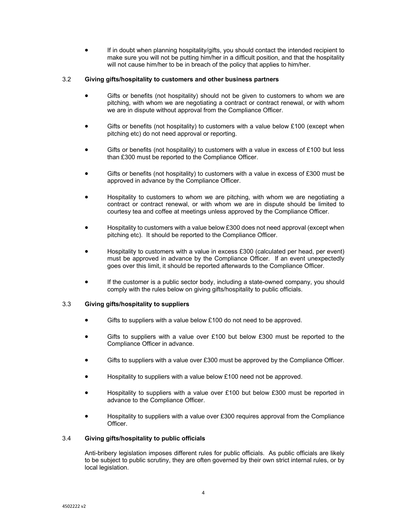If in doubt when planning hospitality/gifts, you should contact the intended recipient to make sure you will not be putting him/her in a difficult position, and that the hospitality will not cause him/her to be in breach of the policy that applies to him/her.

### 3.2 **Giving gifts/hospitality to customers and other business partners**

- Gifts or benefits (not hospitality) should not be given to customers to whom we are pitching, with whom we are negotiating a contract or contract renewal, or with whom we are in dispute without approval from the Compliance Officer.
- Gifts or benefits (not hospitality) to customers with a value below  $£100$  (except when pitching etc) do not need approval or reporting.
- Gifts or benefits (not hospitality) to customers with a value in excess of £100 but less than £300 must be reported to the Compliance Officer.
- Gifts or benefits (not hospitality) to customers with a value in excess of £300 must be approved in advance by the Compliance Officer.
- Hospitality to customers to whom we are pitching, with whom we are negotiating a contract or contract renewal, or with whom we are in dispute should be limited to courtesy tea and coffee at meetings unless approved by the Compliance Officer.
- Hospitality to customers with a value below £300 does not need approval (except when pitching etc). It should be reported to the Compliance Officer.
- Hospitality to customers with a value in excess £300 (calculated per head, per event) must be approved in advance by the Compliance Officer. If an event unexpectedly goes over this limit, it should be reported afterwards to the Compliance Officer.
- If the customer is a public sector body, including a state-owned company, you should comply with the rules below on giving gifts/hospitality to public officials.

# 3.3 **Giving gifts/hospitality to suppliers**

- Gifts to suppliers with a value below £100 do not need to be approved.
- Gifts to suppliers with a value over £100 but below £300 must be reported to the Compliance Officer in advance.
- Gifts to suppliers with a value over £300 must be approved by the Compliance Officer.
- Hospitality to suppliers with a value below £100 need not be approved.
- Hospitality to suppliers with a value over £100 but below £300 must be reported in advance to the Compliance Officer.
- Hospitality to suppliers with a value over £300 requires approval from the Compliance Officer.

# 3.4 **Giving gifts/hospitality to public officials**

Anti-bribery legislation imposes different rules for public officials. As public officials are likely to be subject to public scrutiny, they are often governed by their own strict internal rules, or by local legislation.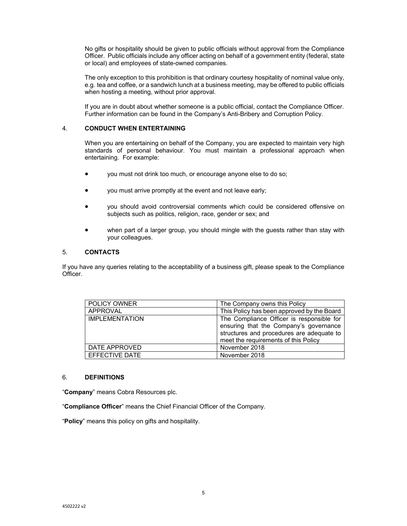No gifts or hospitality should be given to public officials without approval from the Compliance Officer. Public officials include any officer acting on behalf of a government entity (federal, state or local) and employees of state-owned companies.

The only exception to this prohibition is that ordinary courtesy hospitality of nominal value only, e.g. tea and coffee, or a sandwich lunch at a business meeting, may be offered to public officials when hosting a meeting, without prior approval.

If you are in doubt about whether someone is a public official, contact the Compliance Officer. Further information can be found in the Company's Anti-Bribery and Corruption Policy.

# 4. **CONDUCT WHEN ENTERTAINING**

When you are entertaining on behalf of the Company, you are expected to maintain very high standards of personal behaviour. You must maintain a professional approach when entertaining. For example:

- you must not drink too much, or encourage anyone else to do so;
- you must arrive promptly at the event and not leave early;
- you should avoid controversial comments which could be considered offensive on subjects such as politics, religion, race, gender or sex; and
- when part of a larger group, you should mingle with the guests rather than stay with your colleagues.

# 5. **CONTACTS**

If you have any queries relating to the acceptability of a business gift, please speak to the Compliance Officer.

| <b>POLICY OWNER</b>   | The Company owns this Policy               |
|-----------------------|--------------------------------------------|
| APPROVAL              | This Policy has been approved by the Board |
| <b>IMPLEMENTATION</b> | The Compliance Officer is responsible for  |
|                       | ensuring that the Company's governance     |
|                       | structures and procedures are adequate to  |
|                       | meet the requirements of this Policy       |
| DATE APPROVED         | November 2018                              |
| EFFECTIVE DATE        | November 2018                              |

#### 6. **DEFINITIONS**

"**Company**" means Cobra Resources plc.

"**Compliance Officer**" means the Chief Financial Officer of the Company.

"**Policy**" means this policy on gifts and hospitality.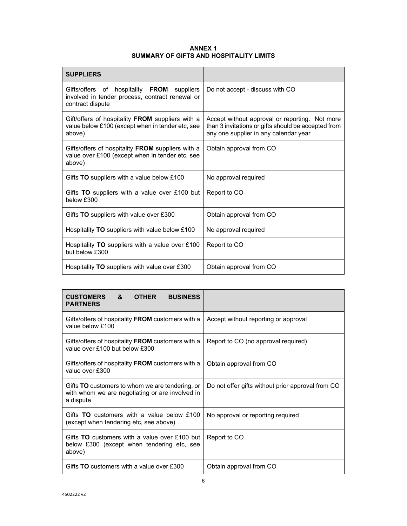# **ANNEX 1 SUMMARY OF GIFTS AND HOSPITALITY LIMITS**

| <b>SUPPLIERS</b>                                                                                                        |                                                                                                                                                |
|-------------------------------------------------------------------------------------------------------------------------|------------------------------------------------------------------------------------------------------------------------------------------------|
| of hospitality FROM<br>Gifts/offers<br>suppliers<br>involved in tender process, contract renewal or<br>contract dispute | Do not accept - discuss with CO                                                                                                                |
| Gift/offers of hospitality FROM suppliers with a<br>value below £100 (except when in tender etc, see<br>above)          | Accept without approval or reporting. Not more<br>than 3 invitations or gifts should be accepted from<br>any one supplier in any calendar year |
| Gifts/offers of hospitality FROM suppliers with a<br>value over £100 (except when in tender etc, see<br>above)          | Obtain approval from CO                                                                                                                        |
| Gifts TO suppliers with a value below £100                                                                              | No approval required                                                                                                                           |
| Gifts TO suppliers with a value over £100 but<br>below £300                                                             | Report to CO                                                                                                                                   |
| Gifts TO suppliers with value over £300                                                                                 | Obtain approval from CO                                                                                                                        |
| Hospitality <b>TO</b> suppliers with value below £100                                                                   | No approval required                                                                                                                           |
| Hospitality TO suppliers with a value over £100<br>but below £300                                                       | Report to CO                                                                                                                                   |
| Hospitality TO suppliers with value over £300                                                                           | Obtain approval from CO                                                                                                                        |

| <b>CUSTOMERS</b><br>&<br><b>OTHER</b><br><b>BUSINESS</b><br><b>PARTNERS</b>                                            |                                                   |
|------------------------------------------------------------------------------------------------------------------------|---------------------------------------------------|
| Gifts/offers of hospitality FROM customers with a<br>value below £100                                                  | Accept without reporting or approval              |
| Gifts/offers of hospitality FROM customers with a<br>value over £100 but below £300                                    | Report to CO (no approval required)               |
| Gifts/offers of hospitality FROM customers with a<br>value over £300                                                   | Obtain approval from CO                           |
| Gifts <b>TO</b> customers to whom we are tendering, or<br>with whom we are negotiating or are involved in<br>a dispute | Do not offer gifts without prior approval from CO |
| Gifts $TO$ customers with a value below £100<br>(except when tendering etc, see above)                                 | No approval or reporting required                 |
| Gifts TO customers with a value over £100 but<br>below £300 (except when tendering etc, see<br>above)                  | Report to CO                                      |
| Gifts <b>TO</b> customers with a value over £300                                                                       | Obtain approval from CO                           |